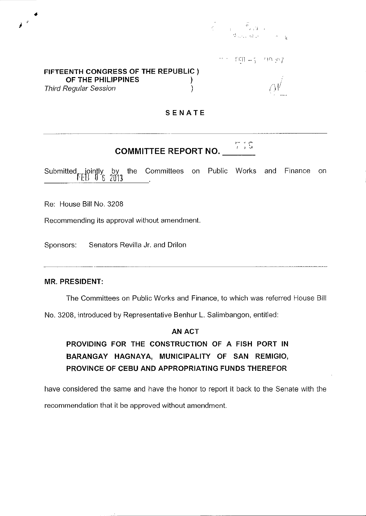$\begin{array}{ccccc} & & & \widetilde{\mathfrak{S}} & & \\ & & & \ddots & \vdots & \\ & & & & \ddots & \vdots \end{array}$ 

 $\text{FFR} = 7$  $P\cap \mathcal{L}$ 

## **FIFTEENTH CONGRESS OF THE REPUBLIC) OF THE PHILIPPINES )**  Third Reqular Session (1999)

 $\alpha''$  $\gamma$ '  $\prime$ 

# **SENATE**

#### $~\tilde{~}~~$  ,  $~\tilde{~}~~$ **COMMITTEE REPORT NO.**

Submitted jointly by<br>EB 0 8 2013 by the Committees on Public Works and Finance on

Re: House Bill No, 3208

Recommending its approval without amendment.

Sponsors: Senators Revilla Jr. and Drilon

## **MR. PRESIDENT:**

The Committees on Public Works and Finance, to which was referred House Bill

No. 3208, introduced by Representative Benhur L. Salimbangon, entitled:

## AN ACT

**PROVIDING FOR THE CONSTRUCTION OF A FISH PORT IN BARANGAY HAGNAYA, MUNICIPALITY OF SAN REMIGIO, PROVINCE OF CEBU AND APPROPRIATING FUNDS THEREFOR** 

have considered the same and have the honor to report **it** back to the Senate with the recommendation that it be approved without amendment.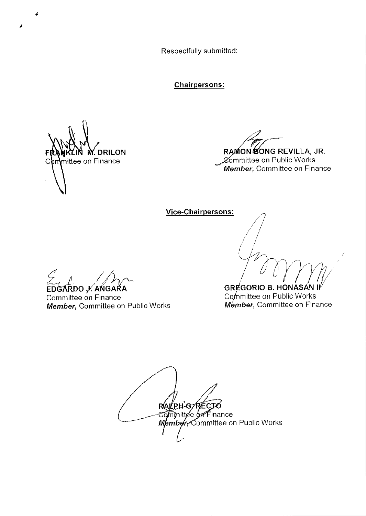Respectfully submitted:

**Chairpersons:** 

M DRILON mittee on Finance  $C<sub>0</sub>$ 

RAMON CONG REVILLA, JR.

Committee on Public Works Member, Committee on Finance

Vice-Chairpersons:

EDGARDO , KANGARA Committee on Finance Member, Committee on Public Works

**GREGORIO B. HONASAN I** Committee on Public Works Member, Committee on Finance

RALPH-GAREC mmittee on Finance Member, Committee on Public Works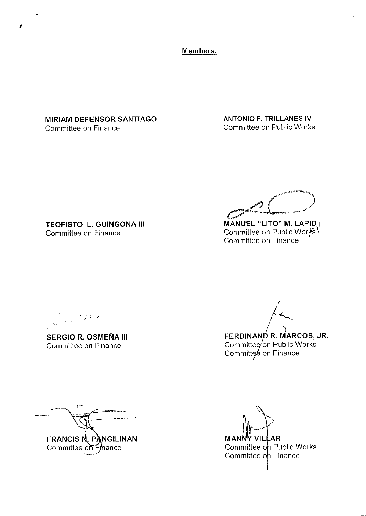**Members:** 

**MIRIAM DEFENSOR SANTIAGO**  Committee on Finance

,

**ANTONIO F. TRILLANES IV**  Committee on Public Works

**TEOFISTO L. GUINGONA III**  Committee on Finance

**MANUEL "LITO" M. LAPID** . Committee on Public Works <sup>v</sup> Committee on Finance

 $\int_{0}^{1} \int_{\mathbb{R}} \left( \int_{\mathbb{R}} \right) \, d\mathbb{R}$ ;J

**SERGIO R. OSMENA III**  Committee on Finance

**FERDINAND R. MARCOS, JR.** Committee⁄ on Public Works Committeé on Finance

FRANCIS N. PANGILINAN Committee on Finance

**MAN** ١R Committee on Public Works Committee on Finance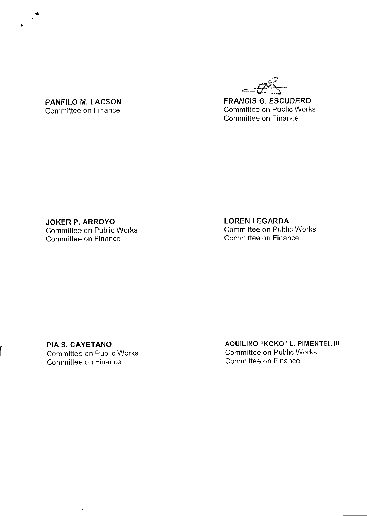**FRANCIS G. ESCUDERO**  Committee on Public Works Committee on Finance

**PANFILO M. LACSON**  Committee on Finance

 $\mathcal{L}$ 

•

•

**JOKER P. ARROYO**  Committee on Public Works Committee on Finance

**LOREN LEGARDA**  Committee on Public Works Committee on Finance

**PIAS. CAYETANO**  Committee on Public Works Committee on Finance

**AQUILINO "KOKO" L. PIMENTEL III**  Committee on Public Works Committee on Finance